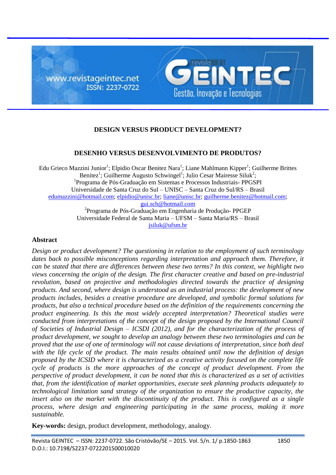

# **DESIGN VERSUS PRODUCT DEVELOPMENT?**

## **DESENHO VERSUS DESENVOLVIMENTO DE PRODUTOS?**

Edu Grieco Mazzini Junior<sup>1</sup>; Elpidio Oscar Benitez Nara<sup>1</sup>; Liane Mahlmann Kipper<sup>1</sup>; Guilherme Brittes Benitez<sup>1</sup>; Guilherme Augusto Schwingel<sup>1</sup>; Julio Cesar Mairesse Siluk<sup>2</sup>; 1 Programa de Pós-Graduação em Sistemas e Processos Industriais- PPGSPI Universidade de Santa Cruz do Sul – UNISC – Santa Cruz do Sul/RS – Brasil [edumazzini@hotmail.com;](mailto:edumazzini@hotmail.com) [elpidio@unisc.br;](mailto:elpidio@unisc.br) [liane@unisc.br;](mailto:liane@unisc.br) [guilherme.benitez@hotmail.com;](mailto:guilherme.benitez@hotmail.com) [gui.sch@hotmail.com](mailto:gui.sch@hotmail.com) 2 Programa de Pós-Graduação em Engenharia de Produção- PPGEP Universidade Federal de Santa Maria – UFSM – Santa Maria/RS – Brasil

[jsiluk@ufsm.br](mailto:jsiluk@ufsm.br)

### **Abstract**

*Design or product development? The questioning in relation to the employment of such terminology dates back to possible misconceptions regarding interpretation and approach them. Therefore, it can be stated that there are differences between these two terms? In this context, we highlight two views concerning the origin of the design. The first character creative and based on pre-industrial revolution, based on projective and methodologies directed towards the practice of designing products. And second, where design is understood as an industrial process: the development of new products includes, besides a creative procedure are developed, and symbolic formal solutions for products, but also a technical procedure based on the definition of the requirements concerning the product engineering. Is this the most widely accepted interpretation? Theoretical studies were conducted from interpretations of the concept of the design proposed by the International Council of Societies of Industrial Design – ICSDI (2012), and for the characterization of the process of product development, we sought to develop an analogy between these two terminologies and can be proved that the use of one of terminology will not cause deviations of interpretation, since both deal with the life cycle of the product. The main results obtained until now the definition of design proposed by the ICSID where it is characterized as a creative activity focused on the complete life cycle of products is the more approaches of the concept of product development. From the perspective of product development, it can be noted that this is characterized as a set of activities that, from the identification of market opportunities, execute seek planning products adequately to technological limitation sand strategy of the organization to ensure the productive capacity, the insert also on the market with the discontinuity of the product. This is configured as a single process, where design and engineering participating in the same process, making it more sustainable.*

**Key-words:** design, product development, methodology, analogy.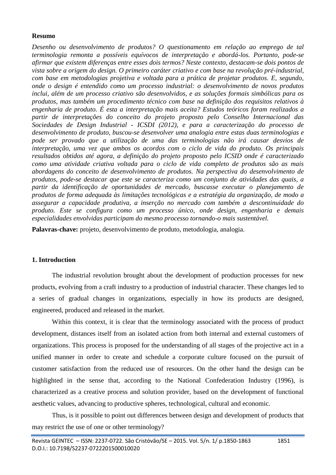## **Resumo**

*Desenho ou desenvolvimento de produtos? O questionamento em relação ao emprego de tal terminologia remonta a possíveis equívocos de interpretação e abordá-los. Portanto, pode-se afirmar que existem diferenças entre esses dois termos? Neste contexto, destacam-se dois pontos de vista sobre a origem do design. O primeiro caráter criativo e com base na revolução pré-industrial, com base em metodologias projetiva e voltada para a prática de projetar produtos. E, segundo, onde o design é entendido como um processo industrial: o desenvolvimento de novos produtos inclui, além de um processo criativo são desenvolvidos, e as soluções formais simbólicas para os produtos, mas também um procedimento técnico com base na definição dos requisitos relativos à engenharia de produto. É esta a interpretação mais aceita? Estudos teóricos foram realizados a partir de interpretações do conceito do projeto proposto pelo Conselho Internacional das Sociedades de Design Industrial - ICSDI (2012), e para a caracterização do processo de desenvolvimento de produto, buscou-se desenvolver uma analogia entre estas duas terminologias e pode ser provado que a utilização de uma das terminologias não irá causar desvios de interpretação, uma vez que ambos os acordos com o ciclo de vida do produto. Os principais resultados obtidos até agora, a definição do projeto proposto pelo ICSID onde é caracterizado como uma atividade criativa voltada para o ciclo de vida completo de produtos são as mais abordagens do conceito de desenvolvimento de produtos. Na perspectiva do desenvolvimento de produtos, pode-se destacar que este se caracteriza como um conjunto de atividades das quais, a partir da identificação de oportunidades de mercado, buscasse executar o planejamento de produtos de forma adequada às limitações tecnológicas e a estratégia da organização, de modo a assegurar a capacidade produtiva, a inserção no mercado com também a descontinuidade do produto. Este se configura como um processo único, onde design, engenharia e demais especialidades envolvidas participam do mesmo processo tornando-o mais sustentável.*

**Palavras-chave:** projeto, desenvolvimento de produto, metodologia, analogia.

## **1. Introduction**

The industrial revolution brought about the development of production processes for new products, evolving from a craft industry to a production of industrial character. These changes led to a series of gradual changes in organizations, especially in how its products are designed, engineered, produced and released in the market.

Within this context, it is clear that the terminology associated with the process of product development, distances itself from an isolated action from both internal and external customers of organizations. This process is proposed for the understanding of all stages of the projective act in a unified manner in order to create and schedule a corporate culture focused on the pursuit of customer satisfaction from the reduced use of resources. On the other hand the design can be highlighted in the sense that, according to the National Confederation Industry (1996), is characterized as a creative process and solution provider, based on the development of functional aesthetic values, advancing to productive spheres, technological, cultural and economic.

Thus, is it possible to point out differences between design and development of products that may restrict the use of one or other terminology?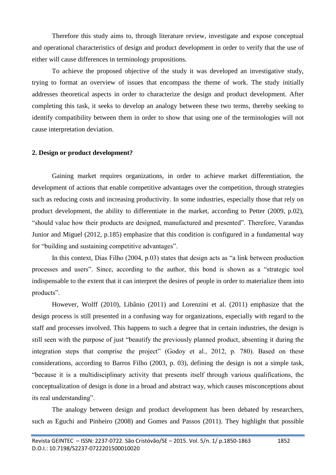Therefore this study aims to, through literature review, investigate and expose conceptual and operational characteristics of design and product development in order to verify that the use of either will cause differences in terminology propositions.

To achieve the proposed objective of the study it was developed an investigative study, trying to format an overview of issues that encompass the theme of work. The study initially addresses theoretical aspects in order to characterize the design and product development. After completing this task, it seeks to develop an analogy between these two terms, thereby seeking to identify compatibility between them in order to show that using one of the terminologies will not cause interpretation deviation.

#### **2. Design or product development?**

Gaining market requires organizations, in order to achieve market differentiation, the development of actions that enable competitive advantages over the competition, through strategies such as reducing costs and increasing productivity. In some industries, especially those that rely on product development, the ability to differentiate in the market, according to Petter (2009, p.02), "should value how their products are designed, manufactured and presented". Therefore, Varandas Junior and Miguel (2012, p.185) emphasize that this condition is configured in a fundamental way for "building and sustaining competitive advantages".

In this context, Dias Filho (2004, p.03) states that design acts as "a link between production processes and users". Since, according to the author, this bond is shown as a "strategic tool indispensable to the extent that it can interpret the desires of people in order to materialize them into products".

However, Wolff (2010), Libânio (2011) and Lorenzini et al. (2011) emphasize that the design process is still presented in a confusing way for organizations, especially with regard to the staff and processes involved. This happens to such a degree that in certain industries, the design is still seen with the purpose of just "beautify the previously planned product, absenting it during the integration steps that comprise the project" (Godoy et al., 2012, p. 780). Based on these considerations, according to Barros Filho (2003, p. 03), defining the design is not a simple task, "because it is a multidisciplinary activity that presents itself through various qualifications, the conceptualization of design is done in a broad and abstract way, which causes misconceptions about its real understanding".

The analogy between design and product development has been debated by researchers, such as Eguchi and Pinheiro (2008) and Gomes and Passos (2011). They highlight that possible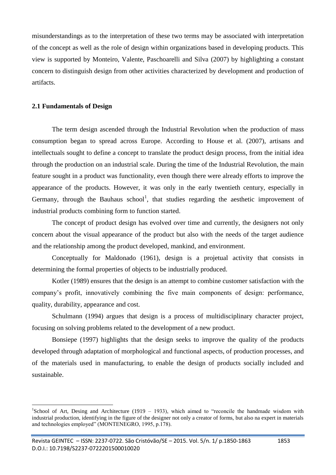misunderstandings as to the interpretation of these two terms may be associated with interpretation of the concept as well as the role of design within organizations based in developing products. This view is supported by Monteiro, Valente, Paschoarelli and Silva (2007) by highlighting a constant concern to distinguish design from other activities characterized by development and production of artifacts.

## **2.1 Fundamentals of Design**

<u>.</u>

The term design ascended through the Industrial Revolution when the production of mass consumption began to spread across Europe. According to House et al. (2007), artisans and intellectuals sought to define a concept to translate the product design process, from the initial idea through the production on an industrial scale. During the time of the Industrial Revolution, the main feature sought in a product was functionality, even though there were already efforts to improve the appearance of the products. However, it was only in the early twentieth century, especially in Germany, through the Bauhaus school<sup>1</sup>, that studies regarding the aesthetic improvement of industrial products combining form to function started.

The concept of product design has evolved over time and currently, the designers not only concern about the visual appearance of the product but also with the needs of the target audience and the relationship among the product developed, mankind, and environment.

Conceptually for Maldonado (1961), design is a projetual activity that consists in determining the formal properties of objects to be industrially produced.

Kotler (1989) ensures that the design is an attempt to combine customer satisfaction with the company's profit, innovatively combining the five main components of design: performance, quality, durability, appearance and cost.

Schulmann (1994) argues that design is a process of multidisciplinary character project, focusing on solving problems related to the development of a new product.

Bonsiepe (1997) highlights that the design seeks to improve the quality of the products developed through adaptation of morphological and functional aspects, of production processes, and of the materials used in manufacturing, to enable the design of products socially included and sustainable.

<sup>&</sup>lt;sup>1</sup>School of Art, Desing and Architecture (1919 – 1933), which aimed to "reconcile the handmade wisdom with industrial production, identifying in the figure of the designer not only a creator of forms, but also na expert in materials and technologies employed" (MONTENEGRO, 1995, p.178).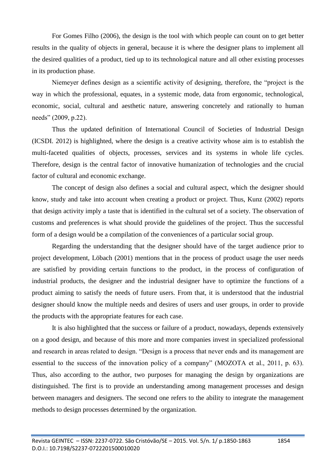For Gomes Filho (2006), the design is the tool with which people can count on to get better results in the quality of objects in general, because it is where the designer plans to implement all the desired qualities of a product, tied up to its technological nature and all other existing processes in its production phase.

Niemeyer defines design as a scientific activity of designing, therefore, the "project is the way in which the professional, equates, in a systemic mode, data from ergonomic, technological, economic, social, cultural and aesthetic nature, answering concretely and rationally to human needs" (2009, p.22).

Thus the updated definition of International Council of Societies of Industrial Design (ICSDI. 2012) is highlighted, where the design is a creative activity whose aim is to establish the multi-faceted qualities of objects, processes, services and its systems in whole life cycles. Therefore, design is the central factor of innovative humanization of technologies and the crucial factor of cultural and economic exchange.

The concept of design also defines a social and cultural aspect, which the designer should know, study and take into account when creating a product or project. Thus, Kunz (2002) reports that design activity imply a taste that is identified in the cultural set of a society. The observation of customs and preferences is what should provide the guidelines of the project. Thus the successful form of a design would be a compilation of the conveniences of a particular social group.

Regarding the understanding that the designer should have of the target audience prior to project development, Löbach (2001) mentions that in the process of product usage the user needs are satisfied by providing certain functions to the product, in the process of configuration of industrial products, the designer and the industrial designer have to optimize the functions of a product aiming to satisfy the needs of future users. From that, it is understood that the industrial designer should know the multiple needs and desires of users and user groups, in order to provide the products with the appropriate features for each case.

It is also highlighted that the success or failure of a product, nowadays, depends extensively on a good design, and because of this more and more companies invest in specialized professional and research in areas related to design. "Design is a process that never ends and its management are essential to the success of the innovation policy of a company" (MOZOTA et al., 2011, p. 63). Thus, also according to the author, two purposes for managing the design by organizations are distinguished. The first is to provide an understanding among management processes and design between managers and designers. The second one refers to the ability to integrate the management methods to design processes determined by the organization.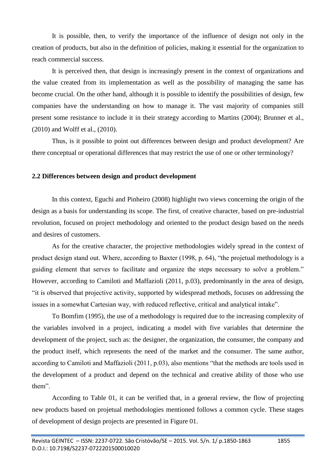It is possible, then, to verify the importance of the influence of design not only in the creation of products, but also in the definition of policies, making it essential for the organization to reach commercial success.

It is perceived then, that design is increasingly present in the context of organizations and the value created from its implementation as well as the possibility of managing the same has become crucial. On the other hand, although it is possible to identify the possibilities of design, few companies have the understanding on how to manage it. The vast majority of companies still present some resistance to include it in their strategy according to Martins (2004); Brunner et al., (2010) and Wolff et al., (2010).

Thus, is it possible to point out differences between design and product development? Are there conceptual or operational differences that may restrict the use of one or other terminology?

## **2.2 Differences between design and product development**

In this context, Eguchi and Pinheiro (2008) highlight two views concerning the origin of the design as a basis for understanding its scope. The first, of creative character, based on pre-industrial revolution, focused on project methodology and oriented to the product design based on the needs and desires of customers.

As for the creative character, the projective methodologies widely spread in the context of product design stand out. Where, according to Baxter (1998, p. 64), "the projetual methodology is a guiding element that serves to facilitate and organize the steps necessary to solve a problem." However, according to Camiloti and Maffazioli (2011, p.03), predominantly in the area of design, "it is observed that projective activity, supported by widespread methods, focuses on addressing the issues in a somewhat Cartesian way, with reduced reflective, critical and analytical intake".

To Bomfim (1995), the use of a methodology is required due to the increasing complexity of the variables involved in a project, indicating a model with five variables that determine the development of the project, such as: the designer, the organization, the consumer, the company and the product itself, which represents the need of the market and the consumer. The same author, according to Camiloti and Maffazioli (2011, p.03), also mentions "that the methods are tools used in the development of a product and depend on the technical and creative ability of those who use them".

According to Table 01, it can be verified that, in a general review, the flow of projecting new products based on projetual methodologies mentioned follows a common cycle. These stages of development of design projects are presented in Figure 01.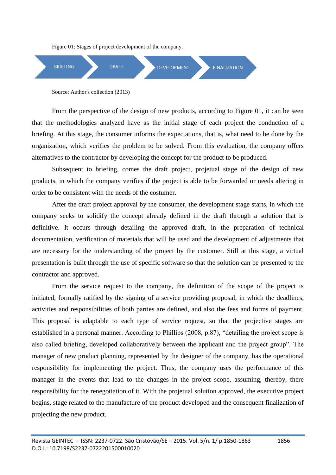Figure 01: Stages of project development of the company.



Source: Author's collection (2013)

From the perspective of the design of new products, according to Figure 01, it can be seen that the methodologies analyzed have as the initial stage of each project the conduction of a briefing. At this stage, the consumer informs the expectations, that is, what need to be done by the organization, which verifies the problem to be solved. From this evaluation, the company offers alternatives to the contractor by developing the concept for the product to be produced.

Subsequent to briefing, comes the draft project, projetual stage of the design of new products, in which the company verifies if the project is able to be forwarded or needs altering in order to be consistent with the needs of the costumer.

After the draft project approval by the consumer, the development stage starts, in which the company seeks to solidify the concept already defined in the draft through a solution that is definitive. It occurs through detailing the approved draft, in the preparation of technical documentation, verification of materials that will be used and the development of adjustments that are necessary for the understanding of the project by the customer. Still at this stage, a virtual presentation is built through the use of specific software so that the solution can be presented to the contractor and approved.

From the service request to the company, the definition of the scope of the project is initiated, formally ratified by the signing of a service providing proposal, in which the deadlines, activities and responsibilities of both parties are defined, and also the fees and forms of payment. This proposal is adaptable to each type of service request, so that the projective stages are established in a personal manner. According to Phillips (2008, p.87), "detailing the project scope is also called briefing, developed collaboratively between the applicant and the project group". The manager of new product planning, represented by the designer of the company, has the operational responsibility for implementing the project. Thus, the company uses the performance of this manager in the events that lead to the changes in the project scope, assuming, thereby, there responsibility for the renegotiation of it. With the projetual solution approved, the executive project begins, stage related to the manufacture of the product developed and the consequent finalization of projecting the new product.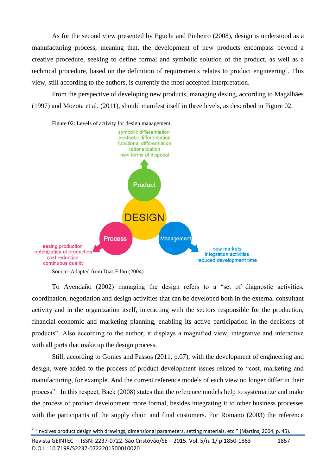As for the second view presented by Eguchi and Pinheiro (2008), design is understood as a manufacturing process, meaning that, the development of new products encompass beyond a creative procedure, seeking to define formal and symbolic solution of the product, as well as a technical procedure, based on the definition of requirements relates to product engineering<sup>2</sup>. This view, still according to the authors, is currently the most accepted interpretation.

From the perspective of developing new products, managing desing, according to Magalhães (1997) and Mozota et al. (2011), should manifest itself in three levels, as described in Figure 02.





To Avendaño (2002) managing the design refers to a "set of diagnostic activities, coordination, negotiation and design activities that can be developed both in the external consultant activity and in the organization itself, interacting with the sectors responsible for the production, financial-economic and marketing planning, enabling its active participation in the decisions of products". Also according to the author, it displays a magnified view, integrative and interactive with all parts that make up the design process.

Still, according to Gomes and Passos (2011, p.07), with the development of engineering and design, were added to the process of product development issues related to "cost, marketing and manufacturing, for example. And the current reference models of each view no longer differ in their process". In this respect, Back (2008) states that the reference models help to systematize and make the process of product development more formal, besides integrating it to other business processes with the participants of the supply chain and final customers. For Romano (2003) the reference

<u>.</u>

 $2$  "Involves product design with drawings, dimensional parameters, setting materials, etc." (Martins, 2004, p. 45).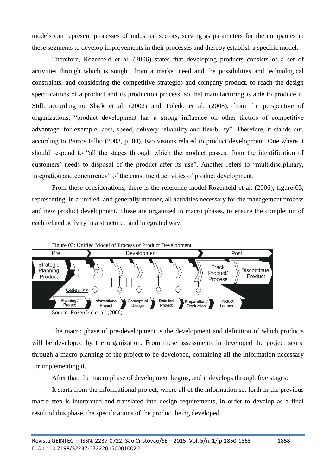models can represent processes of industrial sectors, serving as parameters for the companies in these segments to develop improvements in their processes and thereby establish a specific model.

Therefore, Rozenfeld et al. (2006) states that developing products consists of a set of activities through which is sought, from a market need and the possibilities and technological constraints, and considering the competitive strategies and company product, to reach the design specifications of a product and its production process, so that manufacturing is able to produce it. Still, according to Slack et al. (2002) and Toledo et al. (2008), from the perspective of organizations, "product development has a strong influence on other factors of competitive advantage, for example, cost, speed, delivery reliability and flexibility". Therefore, it stands out, according to Barros Filho (2003, p. 04), two visions related to product development. One where it should respond to "all the stages through which the product passes, from the identification of customers' needs to disposal of the product after its use". Another refers to "multidisciplinary, integration and concurrency" of the constituent activities of product development.

From these considerations, there is the reference model Rozenfeld et al. (2006), figure 03, representing in a unified and generally manner, all activities necessary for the management process and new product development. These are organized in macro phases, to ensure the completion of each related activity in a structured and integrated way.



The macro phase of pre-development is the development and definition of which products will be developed by the organization. From these assessments in developed the project scope through a macro planning of the project to be developed, containing all the information necessary for implementing it.

After that, the macro phase of development begins, and it develops through five stages:

It starts from the informational project, where all of the information set forth in the previous macro step is interpreted and translated into design requirements, in order to develop as a final result of this phase, the specifications of the product being developed.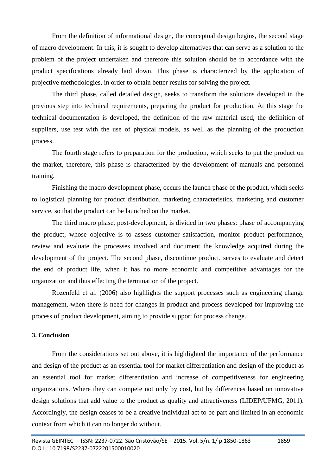From the definition of informational design, the conceptual design begins, the second stage of macro development. In this, it is sought to develop alternatives that can serve as a solution to the problem of the project undertaken and therefore this solution should be in accordance with the product specifications already laid down. This phase is characterized by the application of projective methodologies, in order to obtain better results for solving the project.

The third phase, called detailed design, seeks to transform the solutions developed in the previous step into technical requirements, preparing the product for production. At this stage the technical documentation is developed, the definition of the raw material used, the definition of suppliers, use test with the use of physical models, as well as the planning of the production process.

The fourth stage refers to preparation for the production, which seeks to put the product on the market, therefore, this phase is characterized by the development of manuals and personnel training.

Finishing the macro development phase, occurs the launch phase of the product, which seeks to logistical planning for product distribution, marketing characteristics, marketing and customer service, so that the product can be launched on the market.

The third macro phase, post-development, is divided in two phases: phase of accompanying the product, whose objective is to assess customer satisfaction, monitor product performance, review and evaluate the processes involved and document the knowledge acquired during the development of the project. The second phase, discontinue product, serves to evaluate and detect the end of product life, when it has no more economic and competitive advantages for the organization and thus effecting the termination of the project.

Rozenfeld et al. (2006) also highlights the support processes such as engineering change management, when there is need for changes in product and process developed for improving the process of product development, aiming to provide support for process change.

#### **3. Conclusion**

From the considerations set out above, it is highlighted the importance of the performance and design of the product as an essential tool for market differentiation and design of the product as an essential tool for market differentiation and increase of competitiveness for engineering organizations. Where they can compete not only by cost, but by differences based on innovative design solutions that add value to the product as quality and attractiveness (LIDEP/UFMG, 2011). Accordingly, the design ceases to be a creative individual act to be part and limited in an economic context from which it can no longer do without.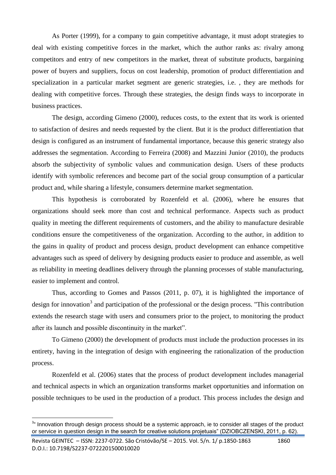As Porter (1999), for a company to gain competitive advantage, it must adopt strategies to deal with existing competitive forces in the market, which the author ranks as: rivalry among competitors and entry of new competitors in the market, threat of substitute products, bargaining power of buyers and suppliers, focus on cost leadership, promotion of product differentiation and specialization in a particular market segment are generic strategies, i.e. , they are methods for dealing with competitive forces. Through these strategies, the design finds ways to incorporate in business practices.

The design, according Gimeno (2000), reduces costs, to the extent that its work is oriented to satisfaction of desires and needs requested by the client. But it is the product differentiation that design is configured as an instrument of fundamental importance, because this generic strategy also addresses the segmentation. According to Ferreira (2008) and Mazzini Junior (2010), the products absorb the subjectivity of symbolic values and communication design. Users of these products identify with symbolic references and become part of the social group consumption of a particular product and, while sharing a lifestyle, consumers determine market segmentation.

This hypothesis is corroborated by Rozenfeld et al. (2006), where he ensures that organizations should seek more than cost and technical performance. Aspects such as product quality in meeting the different requirements of customers, and the ability to manufacture desirable conditions ensure the competitiveness of the organization. According to the author, in addition to the gains in quality of product and process design, product development can enhance competitive advantages such as speed of delivery by designing products easier to produce and assemble, as well as reliability in meeting deadlines delivery through the planning processes of stable manufacturing, easier to implement and control.

Thus, according to Gomes and Passos (2011, p. 07), it is highlighted the importance of design for innovation<sup>3</sup> and participation of the professional or the design process. "This contribution extends the research stage with users and consumers prior to the project, to monitoring the product after its launch and possible discontinuity in the market".

To Gimeno (2000) the development of products must include the production processes in its entirety, having in the integration of design with engineering the rationalization of the production process.

Rozenfeld et al. (2006) states that the process of product development includes managerial and technical aspects in which an organization transforms market opportunities and information on possible techniques to be used in the production of a product. This process includes the design and

1

<sup>&</sup>lt;sup>3</sup>" Innovation through design process should be a systemic approach, ie to consider all stages of the product or service in question design in the search for creative solutions projetuais" (DZIOBCZENSKI, 2011, p. 62).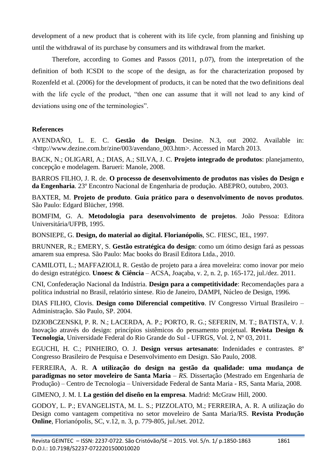development of a new product that is coherent with its life cycle, from planning and finishing up until the withdrawal of its purchase by consumers and its withdrawal from the market.

Therefore, according to Gomes and Passos (2011, p.07), from the interpretation of the definition of both ICSDI to the scope of the design, as for the characterization proposed by Rozenfeld et al. (2006) for the development of products, it can be noted that the two definitions deal with the life cycle of the product, "then one can assume that it will not lead to any kind of deviations using one of the terminologies".

# **References**

AVENDAÑO, L. E. C. **Gestão do Design**. Desine. N.3, out 2002. Available in: <http://www.dezine.com.br/zine/003/avendano\_003.htm>. Accessed in March 2013.

BACK, N.; OLIGARI, A.; DIAS, A.; SILVA, J. C. **Projeto integrado de produtos**: planejamento, concepção e modelagem*.* Barueri: Manole, 2008.

BARROS FILHO, J. R. de. **O processo de desenvolvimento de produtos nas visões do Design e da Engenharia***.* 23º Encontro Nacional de Engenharia de produção. ABEPRO, outubro, 2003.

BAXTER, M. **Projeto de produto***.* **Guia prático para o desenvolvimento de novos produtos***.*  São Paulo: Edgard Blücher, 1998.

BOMFIM, G. A. **Metodologia para desenvolvimento de projetos***.* João Pessoa: Editora Universitária/UFPB, 1995.

BONSIEPE, G. **Design, do material ao digital. Florianópolis**, SC. FIESC, IEL, 1997.

BRUNNER, R.; EMERY, S. **Gestão estratégica do design**: como um ótimo design fará as pessoas amarem sua empresa*.* São Paulo: Mac books do Brasil Editora Ltda., 2010.

CAMILOTI, L.; MAFFAZIOLI, R. Gestão de projeto para a área moveleira: como inovar por meio do design estratégico*.* **Unoesc & Ciência** – ACSA, Joaçaba, v. 2, n. 2, p. 165-172, jul./dez. 2011.

CNI, Confederação Nacional da Indústria. **Design para a competitividade**: Recomendações para a política industrial no Brasil, relatório síntese*.* Rio de Janeiro, DAMPI, Núcleo de Design, 1996.

DIAS FILHO, Clovis. **Design como Diferencial competitivo**. IV Congresso Virtual Brasileiro – Administração. São Paulo, SP. 2004.

DZIOBCZENSKI, P. R. N.; LACERDA, A. P.; PORTO, R. G.; SEFERIN, M. T.; BATISTA, V. J. Inovação através do design: princípios sistêmicos do pensamento projetual*.* **Revista Design & Tecnologia**, Universidade Federal do Rio Grande do Sul - UFRGS, Vol. 2, Nº 03, 2011.

EGUCHI, H. C.; PINHEIRO, O. J. **Design versus artesanato**: Indenidades e contrastes*.* 8º Congresso Brasileiro de Pesquisa e Desenvolvimento em Design. São Paulo, 2008.

FERREIRA, A. R. **A utilização do design na gestão da qualidade: uma mudança de paradigmas no setor moveleiro de Santa Maria** *– RS.* Dissertação (Mestrado em Engenharia de Produção) – Centro de Tecnologia – Universidade Federal de Santa Maria - RS, Santa Maria, 2008.

GIMENO, J. M. I. **La gestión del diseño en la empresa***.* Madrid: McGraw Hill, 2000.

GODOY, L. P.; EVANGELISTA, M. L. S.; PIZZOLATO, M.; FERREIRA, A. R. A utilização do Design como vantagem competitiva no setor moveleiro de Santa Maria/RS*.* **Revista Produção Online**, Florianópolis, SC, v.12, n. 3, p. 779-805, jul./set. 2012.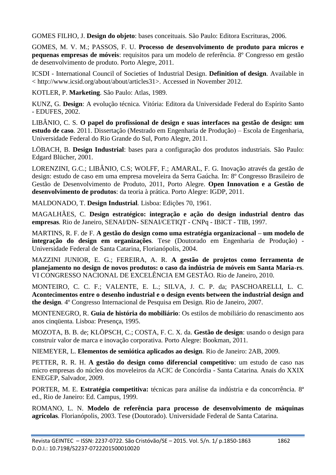GOMES FILHO, J. **Design do objeto**: bases conceituais*.* São Paulo: Editora Escrituras, 2006.

GOMES, M. V. M.; PASSOS, F. U. **Processo de desenvolvimento de produto para micros e pequenas empresas de móveis**: requisitos para um modelo de referência*.* 8º Congresso em gestão de desenvolvimento de produto. Porto Alegre, 2011.

ICSDI - International Council of Societies of Industrial Design. **Definition of design***.* Available in < http://www.icsid.org/about/about/articles31>. Accessed in November 2012.

KOTLER, P. **Marketing***.* São Paulo: Atlas, 1989.

KUNZ, G*.* **Design**: A evolução técnica*.* Vitória: Editora da Universidade Federal do Espírito Santo - EDUFES, 2002.

LIBÂNIO, C. S*.* **O papel do profissional de design e suas interfaces na gestão de design: um estudo de caso***.* 2011. Dissertação (Mestrado em Engenharia de Produção) – Escola de Engenharia, Universidade Federal do Rio Grande do Sul, Porto Alegre, 2011.

LÖBACH, B. **Design Industrial**: bases para a configuração dos produtos industriais*.* São Paulo: Edgard Blücher, 2001.

LORENZINI, G.C.; LIBÂNIO, C.S; WOLFF, F.; AMARAL, F. G. Inovação através da gestão de design: estudo de caso em uma empresa moveleira da Serra Gaúcha*.* In: 8º Congresso Brasileiro de Gestão de Desenvolvimento de Produto, 2011, Porto Alegre. **Open Innovation e a Gestão de desenvolvimento de produtos**: da teoria à prática. Porto Alegre: IGDP, 2011.

MALDONADO, T. **Design Industrial***.* Lisboa: Edições 70, 1961.

MAGALHÃES, C. **Design estratégico: integração e ação do design industrial dentro das empresas***.* Rio de Janeiro, SENAI/DN- SENAI/CETIQT - CNPq - IBICT - TIB, 1997.

MARTINS, R. F. de F. **A gestão do design como uma estratégia organizacional – um modelo de integração do design em organizações***.* Tese (Doutorado em Engenharia de Produção) - Universidade Federal de Santa Catarina, Florianópolis, 2004.

MAZZINI JUNIOR, E. G.; FEREIRA, A. R. **A gestão de projetos como ferramenta de planejamento no design de novos produtos: o caso da indústria de móveis em Santa Maria-rs***.*  VI CONGRESSO NACIONAL DE EXCELÊNCIA EM GESTÃO. Rio de Janeiro, 2010.

MONTEIRO, C. C. F.; VALENTE, E. L.; SILVA, J. C. P. da; PASCHOARELLI, L. C. **Acontecimentos entre o desenho industrial e o design events between the industrial design and the design***.* 4º Congresso Internacional de Pesquisa em Design. Rio de Janeiro, 2007.

MONTENEGRO, R. **Guia de história do mobiliário**: Os estilos de mobiliário do renascimento aos anos cinqüenta*.* Lisboa: Presença, 1995.

MOZOTA, B. B. de; KLÖPSCH, C.; COSTA, F. C. X. da. **Gestão de design**: usando o design para construir valor de marca e inovação corporativa*.* Porto Alegre: Bookman, 2011.

NIEMEYER, L. **Elementos de semiótica aplicados ao design***.* Rio de Janeiro: 2AB, 2009.

PETTER, R. R. H. **A gestão do design como diferencial competitivo**: um estudo de caso nas micro empresas do núcleo dos moveleiros da ACIC de Concórdia - Santa Catarina*.* Anais do XXIX ENEGEP, Salvador, 2009.

PORTER, M. E. **Estratégia competitiva:** técnicas para análise da indústria e da concorrência*.* 8ª ed., Rio de Janeiro: Ed. Campus, 1999.

ROMANO, L. N. **Modelo de referência para processo de desenvolvimento de máquinas agrícolas***.* Florianópolis, 2003. Tese (Doutorado). Universidade Federal de Santa Catarina.